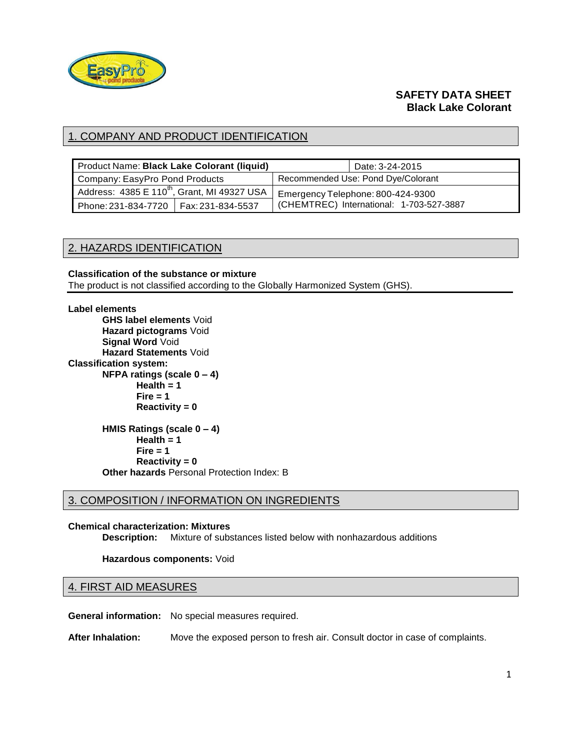

# **SAFETY DATA SHEET Black Lake Colorant**

# 1. COMPANY AND PRODUCT IDENTIFICATION

| Product Name: Black Lake Colorant (liquid)              |  |                                    | Date: 3-24-2015                          |
|---------------------------------------------------------|--|------------------------------------|------------------------------------------|
| Company: EasyPro Pond Products                          |  | Recommended Use: Pond Dye/Colorant |                                          |
| Address: 4385 E 110 <sup>th</sup> , Grant, MI 49327 USA |  | Emergency Telephone: 800-424-9300  |                                          |
| Phone: 231-834-7720   Fax: 231-834-5537                 |  |                                    | (CHEMTREC) International: 1-703-527-3887 |

## 2. HAZARDS IDENTIFICATION

### **Classification of the substance or mixture** The product is not classified according to the Globally Harmonized System (GHS).

#### **Label elements**

**GHS label elements** Void **Hazard pictograms** Void **Signal Word** Void **Hazard Statements** Void **Classification system: NFPA ratings (scale 0 – 4) Health = 1 Fire = 1 Reactivity = 0 HMIS Ratings (scale 0 – 4)**

 $Health = 1$ **Fire = 1 Reactivity = 0 Other hazards** Personal Protection Index: B

## 3. COMPOSITION / INFORMATION ON INGREDIENTS

#### **Chemical characterization: Mixtures**

**Description:** Mixture of substances listed below with nonhazardous additions

#### **Hazardous components:** Void

#### 4. FIRST AID MEASURES

**General information:** No special measures required.

**After Inhalation:** Move the exposed person to fresh air. Consult doctor in case of complaints.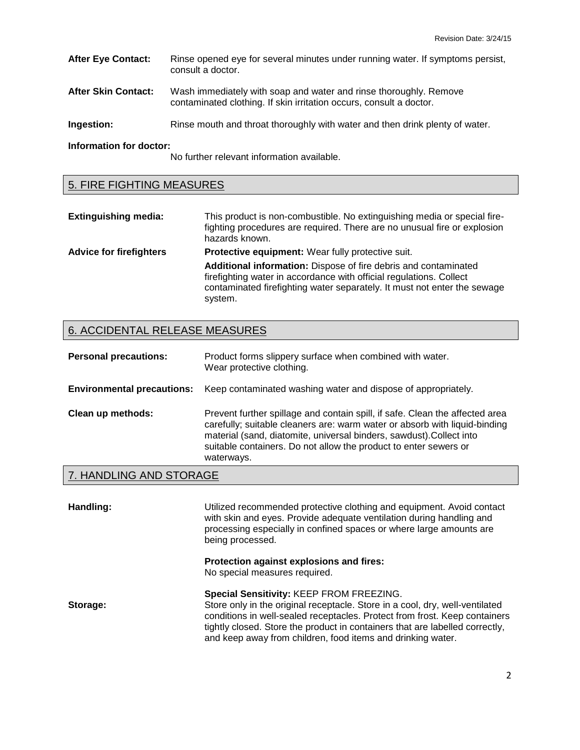| <b>After Eye Contact:</b>  | Rinse opened eye for several minutes under running water. If symptoms persist,<br>consult a doctor.                                      |
|----------------------------|------------------------------------------------------------------------------------------------------------------------------------------|
| <b>After Skin Contact:</b> | Wash immediately with soap and water and rinse thoroughly. Remove<br>contaminated clothing. If skin irritation occurs, consult a doctor. |
| Ingestion:                 | Rinse mouth and throat thoroughly with water and then drink plenty of water.                                                             |

**Information for doctor:**

No further relevant information available.

# 5. FIRE FIGHTING MEASURES

| <b>Extinguishing media:</b>    | This product is non-combustible. No extinguishing media or special fire-<br>fighting procedures are required. There are no unusual fire or explosion<br>hazards known.                                                        |
|--------------------------------|-------------------------------------------------------------------------------------------------------------------------------------------------------------------------------------------------------------------------------|
| <b>Advice for firefighters</b> | Protective equipment: Wear fully protective suit.                                                                                                                                                                             |
|                                | Additional information: Dispose of fire debris and contaminated<br>firefighting water in accordance with official regulations. Collect<br>contaminated firefighting water separately. It must not enter the sewage<br>system. |

# 6. ACCIDENTAL RELEASE MEASURES

| <b>Personal precautions:</b>      | Product forms slippery surface when combined with water.<br>Wear protective clothing.                                                                                                                                                                                                                                |
|-----------------------------------|----------------------------------------------------------------------------------------------------------------------------------------------------------------------------------------------------------------------------------------------------------------------------------------------------------------------|
| <b>Environmental precautions:</b> | Keep contaminated washing water and dispose of appropriately.                                                                                                                                                                                                                                                        |
| Clean up methods:                 | Prevent further spillage and contain spill, if safe. Clean the affected area<br>carefully; suitable cleaners are: warm water or absorb with liquid-binding<br>material (sand, diatomite, universal binders, sawdust). Collect into<br>suitable containers. Do not allow the product to enter sewers or<br>waterways. |
|                                   |                                                                                                                                                                                                                                                                                                                      |

# 7. HANDLING AND STORAGE

| Handling: | Utilized recommended protective clothing and equipment. Avoid contact<br>with skin and eyes. Provide adequate ventilation during handling and<br>processing especially in confined spaces or where large amounts are<br>being processed.                                                                                                              |
|-----------|-------------------------------------------------------------------------------------------------------------------------------------------------------------------------------------------------------------------------------------------------------------------------------------------------------------------------------------------------------|
|           | Protection against explosions and fires:<br>No special measures required.                                                                                                                                                                                                                                                                             |
| Storage:  | Special Sensitivity: KEEP FROM FREEZING.<br>Store only in the original receptacle. Store in a cool, dry, well-ventilated<br>conditions in well-sealed receptacles. Protect from frost. Keep containers<br>tightly closed. Store the product in containers that are labelled correctly,<br>and keep away from children, food items and drinking water. |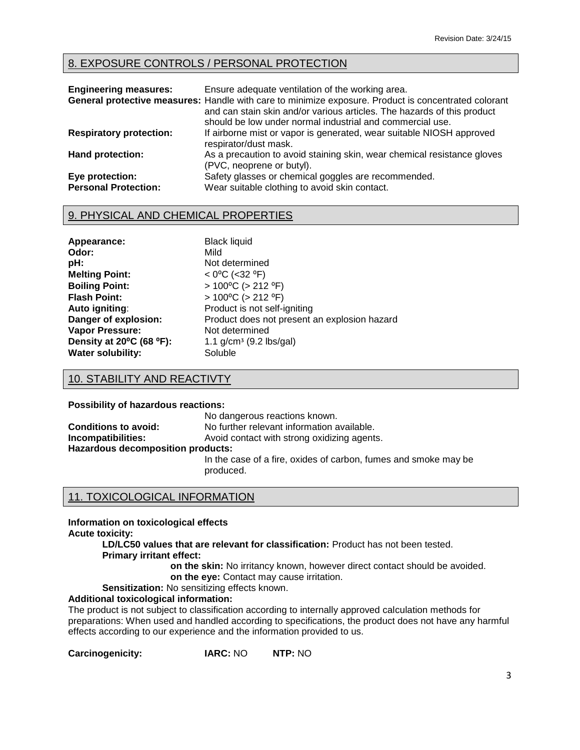# 8. EXPOSURE CONTROLS / PERSONAL PROTECTION

| <b>Engineering measures:</b>                   | Ensure adequate ventilation of the working area.<br>General protective measures: Handle with care to minimize exposure. Product is concentrated colorant<br>and can stain skin and/or various articles. The hazards of this product<br>should be low under normal industrial and commercial use. |
|------------------------------------------------|--------------------------------------------------------------------------------------------------------------------------------------------------------------------------------------------------------------------------------------------------------------------------------------------------|
| <b>Respiratory protection:</b>                 | If airborne mist or vapor is generated, wear suitable NIOSH approved<br>respirator/dust mask.                                                                                                                                                                                                    |
| <b>Hand protection:</b>                        | As a precaution to avoid staining skin, wear chemical resistance gloves<br>(PVC, neoprene or butyl).                                                                                                                                                                                             |
| Eye protection:<br><b>Personal Protection:</b> | Safety glasses or chemical goggles are recommended.<br>Wear suitable clothing to avoid skin contact.                                                                                                                                                                                             |

## 9. PHYSICAL AND CHEMICAL PROPERTIES

| Appearance:              |
|--------------------------|
| Odor:                    |
| pH:                      |
| <b>Melting Point:</b>    |
| <b>Boiling Point:</b>    |
| <b>Flash Point:</b>      |
| Auto igniting:           |
| Danger of explosion:     |
| <b>Vapor Pressure:</b>   |
| Density at 20°C (68 °F): |
| <b>Water solubility:</b> |

**Black liquid Odor:** Mild Not determined **Melting Point:** < 0⁰C (<32 ⁰F) **Boiling Point:** > 100⁰C (> 212 ⁰F) **Flash Point:** > 100⁰C (> 212 ⁰F) Product is not self-igniting Product does not present an explosion hazard **Not determined Density at 20⁰C (68 ⁰F):** 1.1 g/cmᶾ (9.2 lbs/gal) Soluble

# 10. STABILITY AND REACTIVTY

**Possibility of hazardous reactions:**

|                                   | No dangerous reactions known.                                                |  |
|-----------------------------------|------------------------------------------------------------------------------|--|
| <b>Conditions to avoid:</b>       | No further relevant information available.                                   |  |
| Incompatibilities:                | Avoid contact with strong oxidizing agents.                                  |  |
| Hazardous decomposition products: |                                                                              |  |
|                                   | In the case of a fire, oxides of carbon, fumes and smoke may be<br>produced. |  |

## 11. TOXICOLOGICAL INFORMATION

**Information on toxicological effects**

**Acute toxicity:**

**LD/LC50 values that are relevant for classification:** Product has not been tested. **Primary irritant effect:**

**on the skin:** No irritancy known, however direct contact should be avoided. **on the eye:** Contact may cause irritation.

**Sensitization:** No sensitizing effects known.

# **Additional toxicological information:**

The product is not subject to classification according to internally approved calculation methods for preparations: When used and handled according to specifications, the product does not have any harmful effects according to our experience and the information provided to us.

**Carcinogenicity: IARC:** NO **NTP:** NO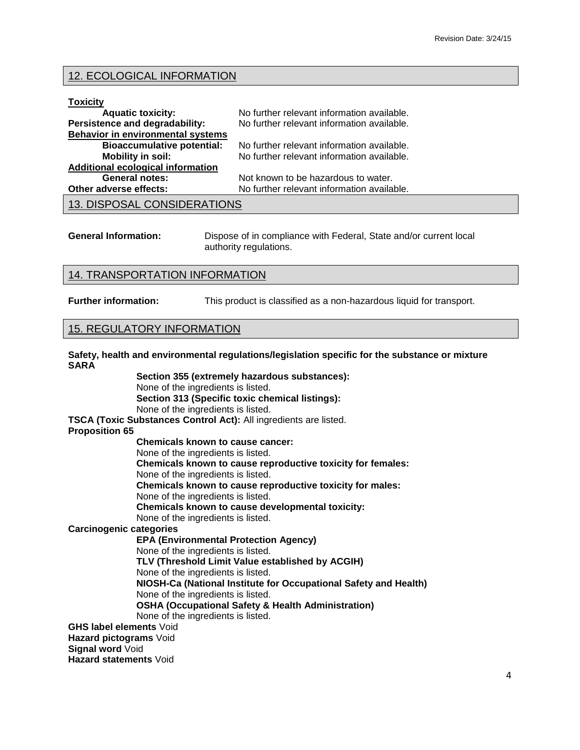### 12. ECOLOGICAL INFORMATION

#### **Toxicity**

| <b>Aquatic toxicity:</b>                 | No further relevant information available. |
|------------------------------------------|--------------------------------------------|
| Persistence and degradability:           | No further relevant information available. |
| <b>Behavior in environmental systems</b> |                                            |
| <b>Bioaccumulative potential:</b>        | No further relevant information available. |
| Mobility in soil:                        | No further relevant information available. |
| <b>Additional ecological information</b> |                                            |
| <b>General notes:</b>                    | Not known to be hazardous to water.        |
| Other adverse effects:                   | No further relevant information available. |
| 13. DISPOSAL CONSIDERATIONS              |                                            |

| <b>General Information:</b> | Dispose of in compliance with Federal, State and/or current local |
|-----------------------------|-------------------------------------------------------------------|
|                             | authority regulations.                                            |

#### 14. TRANSPORTATION INFORMATION

**Further information:** This product is classified as a non-hazardous liquid for transport.

#### 15. REGULATORY INFORMATION

**Safety, health and environmental regulations/legislation specific for the substance or mixture SARA**

**Section 355 (extremely hazardous substances):** None of the ingredients is listed. **Section 313 (Specific toxic chemical listings):** None of the ingredients is listed. **TSCA (Toxic Substances Control Act):** All ingredients are listed. **Proposition 65 Chemicals known to cause cancer:** None of the ingredients is listed. **Chemicals known to cause reproductive toxicity for females:** None of the ingredients is listed. **Chemicals known to cause reproductive toxicity for males:** None of the ingredients is listed. **Chemicals known to cause developmental toxicity:** None of the ingredients is listed. **Carcinogenic categories EPA (Environmental Protection Agency)** None of the ingredients is listed. **TLV (Threshold Limit Value established by ACGIH)** None of the ingredients is listed. **NIOSH-Ca (National Institute for Occupational Safety and Health)** None of the ingredients is listed. **OSHA (Occupational Safety & Health Administration)** None of the ingredients is listed. **GHS label elements** Void **Hazard pictograms** Void **Signal word** Void **Hazard statements** Void